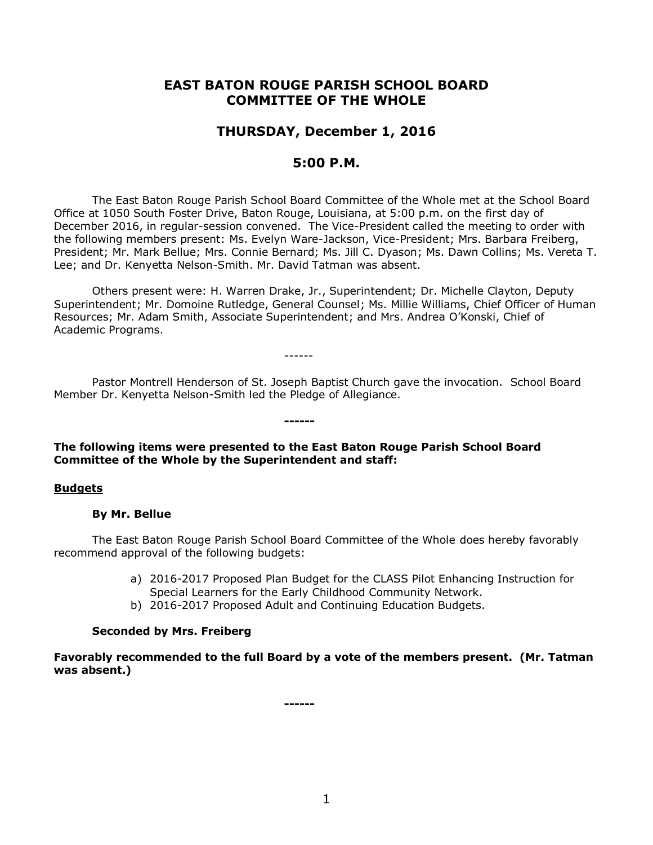# **EAST BATON ROUGE PARISH SCHOOL BOARD COMMITTEE OF THE WHOLE**

# **THURSDAY, December 1, 2016**

## **5:00 P.M.**

The East Baton Rouge Parish School Board Committee of the Whole met at the School Board Office at 1050 South Foster Drive, Baton Rouge, Louisiana, at 5:00 p.m. on the first day of December 2016, in regular-session convened. The Vice-President called the meeting to order with the following members present: Ms. Evelyn Ware-Jackson, Vice-President; Mrs. Barbara Freiberg, President; Mr. Mark Bellue; Mrs. Connie Bernard; Ms. Jill C. Dyason; Ms. Dawn Collins; Ms. Vereta T. Lee; and Dr. Kenyetta Nelson-Smith. Mr. David Tatman was absent.

Others present were: H. Warren Drake, Jr., Superintendent; Dr. Michelle Clayton, Deputy Superintendent; Mr. Domoine Rutledge, General Counsel; Ms. Millie Williams, Chief Officer of Human Resources; Mr. Adam Smith, Associate Superintendent; and Mrs. Andrea O'Konski, Chief of Academic Programs.

------

Pastor Montrell Henderson of St. Joseph Baptist Church gave the invocation. School Board Member Dr. Kenyetta Nelson-Smith led the Pledge of Allegiance.

### **The following items were presented to the East Baton Rouge Parish School Board Committee of the Whole by the Superintendent and staff:**

**------**

#### **Budgets**

#### **By Mr. Bellue**

The East Baton Rouge Parish School Board Committee of the Whole does hereby favorably recommend approval of the following budgets:

- a) 2016-2017 Proposed Plan Budget for the CLASS Pilot Enhancing Instruction for Special Learners for the Early Childhood Community Network.
- b) 2016-2017 Proposed Adult and Continuing Education Budgets.

### **Seconded by Mrs. Freiberg**

**Favorably recommended to the full Board by a vote of the members present. (Mr. Tatman was absent.)**

**------**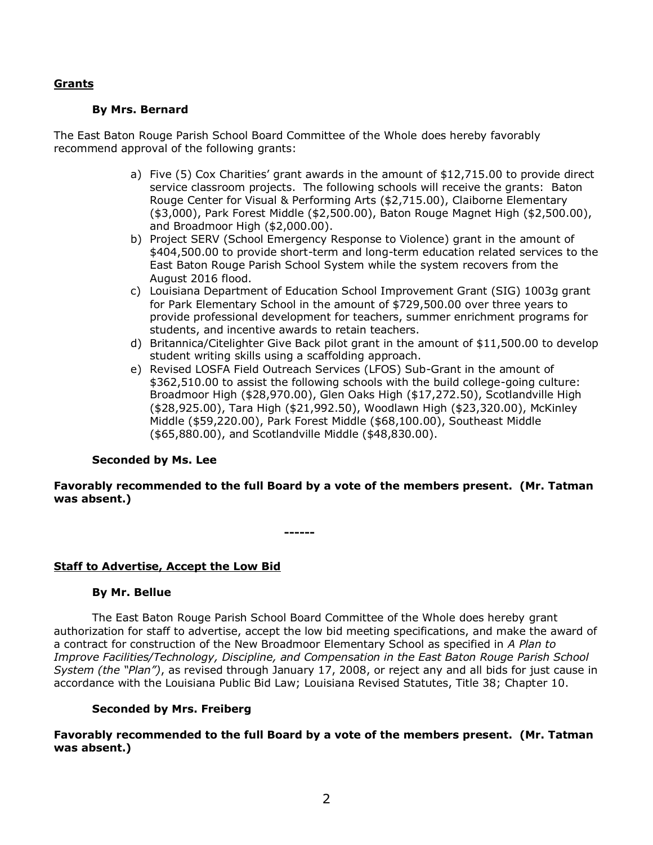### **Grants**

### **By Mrs. Bernard**

The East Baton Rouge Parish School Board Committee of the Whole does hereby favorably recommend approval of the following grants:

- a) Five (5) Cox Charities' grant awards in the amount of \$12,715.00 to provide direct service classroom projects. The following schools will receive the grants: Baton Rouge Center for Visual & Performing Arts (\$2,715.00), Claiborne Elementary (\$3,000), Park Forest Middle (\$2,500.00), Baton Rouge Magnet High (\$2,500.00), and Broadmoor High (\$2,000.00).
- b) Project SERV (School Emergency Response to Violence) grant in the amount of \$404,500.00 to provide short-term and long-term education related services to the East Baton Rouge Parish School System while the system recovers from the August 2016 flood.
- c) Louisiana Department of Education School Improvement Grant (SIG) 1003g grant for Park Elementary School in the amount of \$729,500.00 over three years to provide professional development for teachers, summer enrichment programs for students, and incentive awards to retain teachers.
- d) Britannica/Citelighter Give Back pilot grant in the amount of \$11,500.00 to develop student writing skills using a scaffolding approach.
- e) Revised LOSFA Field Outreach Services (LFOS) Sub-Grant in the amount of \$362,510.00 to assist the following schools with the build college-going culture: Broadmoor High (\$28,970.00), Glen Oaks High (\$17,272.50), Scotlandville High (\$28,925.00), Tara High (\$21,992.50), Woodlawn High (\$23,320.00), McKinley Middle (\$59,220.00), Park Forest Middle (\$68,100.00), Southeast Middle (\$65,880.00), and Scotlandville Middle (\$48,830.00).

## **Seconded by Ms. Lee**

### **Favorably recommended to the full Board by a vote of the members present. (Mr. Tatman was absent.)**

**------**

## **Staff to Advertise, Accept the Low Bid**

### **By Mr. Bellue**

The East Baton Rouge Parish School Board Committee of the Whole does hereby grant authorization for staff to advertise, accept the low bid meeting specifications, and make the award of a contract for construction of the New Broadmoor Elementary School as specified in *A Plan to Improve Facilities/Technology, Discipline, and Compensation in the East Baton Rouge Parish School System (the "Plan")*, as revised through January 17, 2008, or reject any and all bids for just cause in accordance with the Louisiana Public Bid Law; Louisiana Revised Statutes, Title 38; Chapter 10.

### **Seconded by Mrs. Freiberg**

**Favorably recommended to the full Board by a vote of the members present. (Mr. Tatman was absent.)**